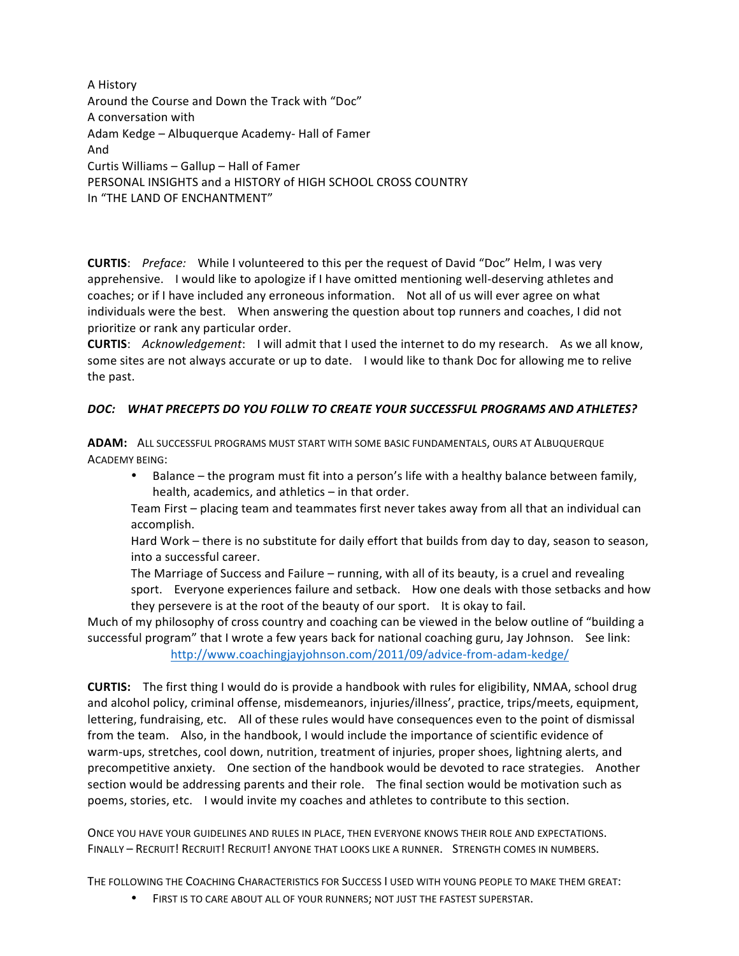A History Around the Course and Down the Track with "Doc" A conversation with Adam Kedge - Albuquerque Academy- Hall of Famer And Curtis Williams  $-$  Gallup  $-$  Hall of Famer PERSONAL INSIGHTS and a HISTORY of HIGH SCHOOL CROSS COUNTRY In "THE LAND OF ENCHANTMENT"

**CURTIS:** Preface: While I volunteered to this per the request of David "Doc" Helm, I was very apprehensive. I would like to apologize if I have omitted mentioning well-deserving athletes and coaches; or if I have included any erroneous information. Not all of us will ever agree on what individuals were the best. When answering the question about top runners and coaches, I did not prioritize or rank any particular order.

**CURTIS:** *Acknowledgement*: I will admit that I used the internet to do my research. As we all know, some sites are not always accurate or up to date. I would like to thank Doc for allowing me to relive the past.

# *DOC: WHAT PRECEPTS DO YOU FOLLW TO CREATE YOUR SUCCESSFUL PROGRAMS AND ATHLETES?*

**ADAM:** ALL SUCCESSFUL PROGRAMS MUST START WITH SOME BASIC FUNDAMENTALS, OURS AT ALBUQUERQUE ACADEMY BEING:

• Balance – the program must fit into a person's life with a healthy balance between family, health, academics, and athletics  $-$  in that order.

Team First – placing team and teammates first never takes away from all that an individual can accomplish.

Hard Work – there is no substitute for daily effort that builds from day to day, season to season, into a successful career.

The Marriage of Success and Failure – running, with all of its beauty, is a cruel and revealing sport. Everyone experiences failure and setback. How one deals with those setbacks and how they persevere is at the root of the beauty of our sport. It is okay to fail.

Much of my philosophy of cross country and coaching can be viewed in the below outline of "building a successful program" that I wrote a few years back for national coaching guru, Jay Johnson. See link: <http://www.coachingjayjohnson.com/2011/09/advice-from-adam-kedge/>

**CURTIS:** The first thing I would do is provide a handbook with rules for eligibility, NMAA, school drug and alcohol policy, criminal offense, misdemeanors, injuries/illness', practice, trips/meets, equipment, lettering, fundraising, etc. All of these rules would have consequences even to the point of dismissal from the team. Also, in the handbook, I would include the importance of scientific evidence of warm-ups, stretches, cool down, nutrition, treatment of injuries, proper shoes, lightning alerts, and precompetitive anxiety. One section of the handbook would be devoted to race strategies. Another section would be addressing parents and their role. The final section would be motivation such as poems, stories, etc. I would invite my coaches and athletes to contribute to this section.

ONCE YOU HAVE YOUR GUIDELINES AND RULES IN PLACE, THEN EVERYONE KNOWS THEIR ROLE AND EXPECTATIONS. FINALLY - RECRUIT! RECRUIT! RECRUIT! ANYONE THAT LOOKS LIKE A RUNNER. STRENGTH COMES IN NUMBERS.

THE FOLLOWING THE COACHING CHARACTERISTICS FOR SUCCESS I USED WITH YOUNG PEOPLE TO MAKE THEM GREAT:

• FIRST IS TO CARE ABOUT ALL OF YOUR RUNNERS; NOT JUST THE FASTEST SUPERSTAR.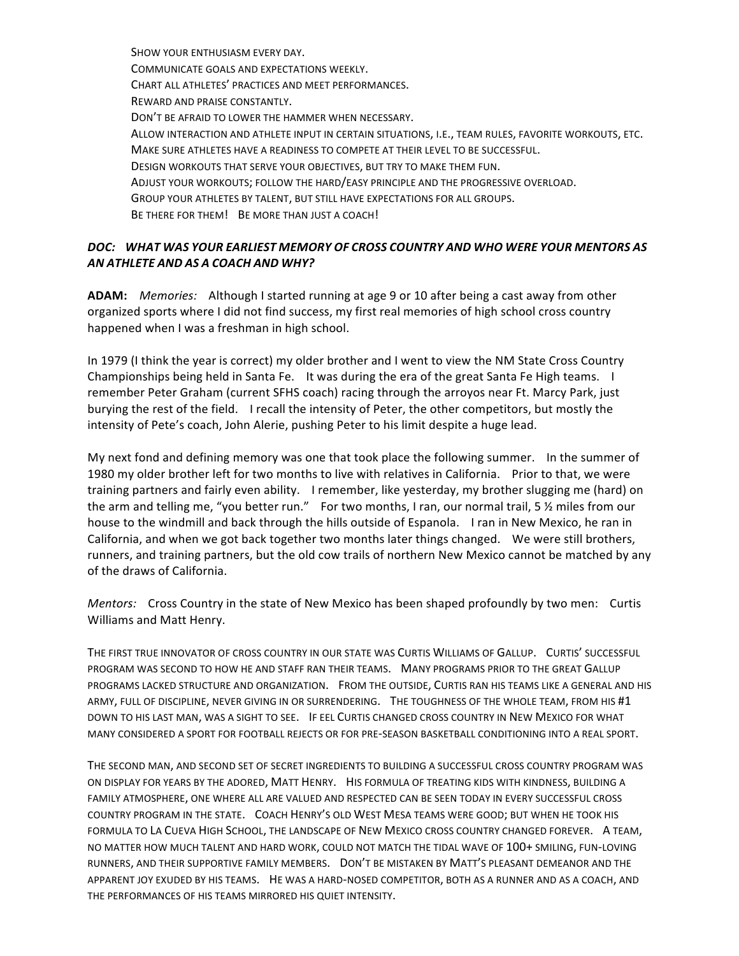SHOW YOUR ENTHUSIASM EVERY DAY. COMMUNICATE GOALS AND EXPECTATIONS WEEKLY. CHART ALL ATHLETES' PRACTICES AND MEET PERFORMANCES. REWARD AND PRAISE CONSTANTLY. DON'T BE AFRAID TO LOWER THE HAMMER WHEN NECESSARY. ALLOW INTERACTION AND ATHLETE INPUT IN CERTAIN SITUATIONS, I.E., TEAM RULES, FAVORITE WORKOUTS, ETC. MAKE SURE ATHLETES HAVE A READINESS TO COMPETE AT THEIR LEVEL TO BE SUCCESSFUL. DESIGN WORKOUTS THAT SERVE YOUR OBJECTIVES, BUT TRY TO MAKE THEM FUN. ADJUST YOUR WORKOUTS; FOLLOW THE HARD/EASY PRINCIPLE AND THE PROGRESSIVE OVERLOAD. GROUP YOUR ATHLETES BY TALENT, BUT STILL HAVE EXPECTATIONS FOR ALL GROUPS. BE THERE FOR THEM! BE MORE THAN JUST A COACH!

### *DOC: WHAT WAS YOUR EARLIEST MEMORY OF CROSS COUNTRY AND WHO WERE YOUR MENTORS AS AN ATHLETE AND AS A COACH AND WHY?*

**ADAM:** *Memories:* Although I started running at age 9 or 10 after being a cast away from other organized sports where I did not find success, my first real memories of high school cross country happened when I was a freshman in high school.

In 1979 (I think the year is correct) my older brother and I went to view the NM State Cross Country Championships being held in Santa Fe. It was during the era of the great Santa Fe High teams. I remember Peter Graham (current SFHS coach) racing through the arroyos near Ft. Marcy Park, just burying the rest of the field. I recall the intensity of Peter, the other competitors, but mostly the intensity of Pete's coach, John Alerie, pushing Peter to his limit despite a huge lead.

My next fond and defining memory was one that took place the following summer. In the summer of 1980 my older brother left for two months to live with relatives in California. Prior to that, we were training partners and fairly even ability. I remember, like yesterday, my brother slugging me (hard) on the arm and telling me, "you better run." For two months, I ran, our normal trail, 5  $\frac{1}{2}$  miles from our house to the windmill and back through the hills outside of Espanola. I ran in New Mexico, he ran in California, and when we got back together two months later things changed. We were still brothers, runners, and training partners, but the old cow trails of northern New Mexico cannot be matched by any of the draws of California.

*Mentors:* Cross Country in the state of New Mexico has been shaped profoundly by two men: Curtis Williams and Matt Henry.

THE FIRST TRUE INNOVATOR OF CROSS COUNTRY IN OUR STATE WAS CURTIS WILLIAMS OF GALLUP. CURTIS' SUCCESSFUL PROGRAM WAS SECOND TO HOW HE AND STAFF RAN THEIR TEAMS. MANY PROGRAMS PRIOR TO THE GREAT GALLUP PROGRAMS LACKED STRUCTURE AND ORGANIZATION. FROM THE OUTSIDE, CURTIS RAN HIS TEAMS LIKE A GENERAL AND HIS ARMY, FULL OF DISCIPLINE, NEVER GIVING IN OR SURRENDERING. THE TOUGHNESS OF THE WHOLE TEAM, FROM HIS #1 DOWN TO HIS LAST MAN, WAS A SIGHT TO SEE. IF EEL CURTIS CHANGED CROSS COUNTRY IN NEW MEXICO FOR WHAT MANY CONSIDERED A SPORT FOR FOOTBALL REJECTS OR FOR PRE-SEASON BASKETBALL CONDITIONING INTO A REAL SPORT.

THE SECOND MAN, AND SECOND SET OF SECRET INGREDIENTS TO BUILDING A SUCCESSFUL CROSS COUNTRY PROGRAM WAS ON DISPLAY FOR YEARS BY THE ADORED, MATT HENRY. HIS FORMULA OF TREATING KIDS WITH KINDNESS, BUILDING A FAMILY ATMOSPHERE, ONE WHERE ALL ARE VALUED AND RESPECTED CAN BE SEEN TODAY IN EVERY SUCCESSFUL CROSS COUNTRY PROGRAM IN THE STATE. COACH HENRY'S OLD WEST MESA TEAMS WERE GOOD; BUT WHEN HE TOOK HIS FORMULA TO LA CUEVA HIGH SCHOOL, THE LANDSCAPE OF NEW MEXICO CROSS COUNTRY CHANGED FOREVER. A TEAM, NO MATTER HOW MUCH TALENT AND HARD WORK, COULD NOT MATCH THE TIDAL WAVE OF 100+ SMILING, FUN-LOVING RUNNERS, AND THEIR SUPPORTIVE FAMILY MEMBERS. DON'T BE MISTAKEN BY MATT'S PLEASANT DEMEANOR AND THE APPARENT JOY EXUDED BY HIS TEAMS. HE WAS A HARD-NOSED COMPETITOR, BOTH AS A RUNNER AND AS A COACH, AND THE PERFORMANCES OF HIS TEAMS MIRRORED HIS QUIET INTENSITY.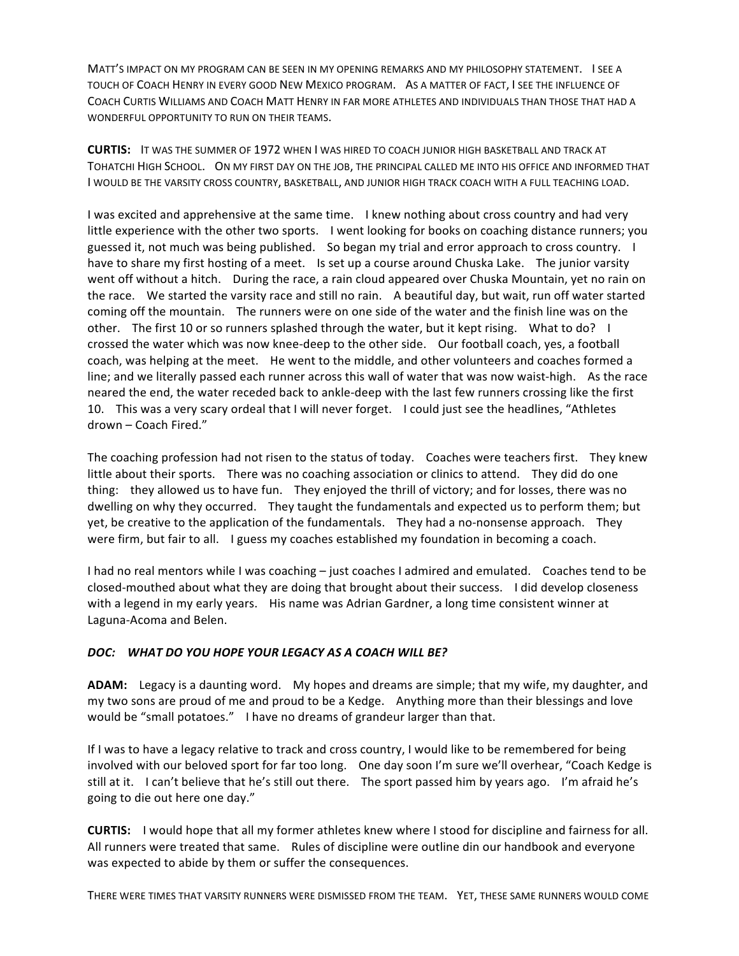MATT'S IMPACT ON MY PROGRAM CAN BE SEEN IN MY OPENING REMARKS AND MY PHILOSOPHY STATEMENT. I SEE A TOUCH OF COACH HENRY IN EVERY GOOD NEW MEXICO PROGRAM. AS A MATTER OF FACT, I SEE THE INFLUENCE OF COACH CURTIS WILLIAMS AND COACH MATT HENRY IN FAR MORE ATHLETES AND INDIVIDUALS THAN THOSE THAT HAD A WONDERFUL OPPORTUNITY TO RUN ON THEIR TEAMS.

**CURTIS:** IT WAS THE SUMMER OF 1972 WHEN I WAS HIRED TO COACH JUNIOR HIGH BASKETBALL AND TRACK AT TOHATCHI HIGH SCHOOL. ON MY FIRST DAY ON THE JOB, THE PRINCIPAL CALLED ME INTO HIS OFFICE AND INFORMED THAT I WOULD BE THE VARSITY CROSS COUNTRY, BASKETBALL, AND JUNIOR HIGH TRACK COACH WITH A FULL TEACHING LOAD.

I was excited and apprehensive at the same time. I knew nothing about cross country and had very little experience with the other two sports. I went looking for books on coaching distance runners; you guessed it, not much was being published. So began my trial and error approach to cross country. I have to share my first hosting of a meet. Is set up a course around Chuska Lake. The junior varsity went off without a hitch. During the race, a rain cloud appeared over Chuska Mountain, yet no rain on the race. We started the varsity race and still no rain. A beautiful day, but wait, run off water started coming off the mountain. The runners were on one side of the water and the finish line was on the other. The first 10 or so runners splashed through the water, but it kept rising. What to do? I crossed the water which was now knee-deep to the other side. Our football coach, yes, a football coach, was helping at the meet. He went to the middle, and other volunteers and coaches formed a line; and we literally passed each runner across this wall of water that was now waist-high. As the race neared the end, the water receded back to ankle-deep with the last few runners crossing like the first 10. This was a very scary ordeal that I will never forget. I could just see the headlines, "Athletes drown – Coach Fired."

The coaching profession had not risen to the status of today. Coaches were teachers first. They knew little about their sports. There was no coaching association or clinics to attend. They did do one thing: they allowed us to have fun. They enjoyed the thrill of victory; and for losses, there was no dwelling on why they occurred. They taught the fundamentals and expected us to perform them; but yet, be creative to the application of the fundamentals. They had a no-nonsense approach. They were firm, but fair to all. I guess my coaches established my foundation in becoming a coach.

I had no real mentors while I was coaching – just coaches I admired and emulated. Coaches tend to be closed-mouthed about what they are doing that brought about their success. I did develop closeness with a legend in my early years. His name was Adrian Gardner, a long time consistent winner at Laguna-Acoma and Belen.

### *DOC: WHAT DO YOU HOPE YOUR LEGACY AS A COACH WILL BE?*

**ADAM:** Legacy is a daunting word. My hopes and dreams are simple; that my wife, my daughter, and my two sons are proud of me and proud to be a Kedge. Anything more than their blessings and love would be "small potatoes." I have no dreams of grandeur larger than that.

If I was to have a legacy relative to track and cross country, I would like to be remembered for being involved with our beloved sport for far too long. One day soon I'm sure we'll overhear, "Coach Kedge is still at it. I can't believe that he's still out there. The sport passed him by years ago. I'm afraid he's going to die out here one day."

**CURTIS:** I would hope that all my former athletes knew where I stood for discipline and fairness for all. All runners were treated that same. Rules of discipline were outline din our handbook and everyone was expected to abide by them or suffer the consequences.

THERE WERE TIMES THAT VARSITY RUNNERS WERE DISMISSED FROM THE TEAM. YET, THESE SAME RUNNERS WOULD COME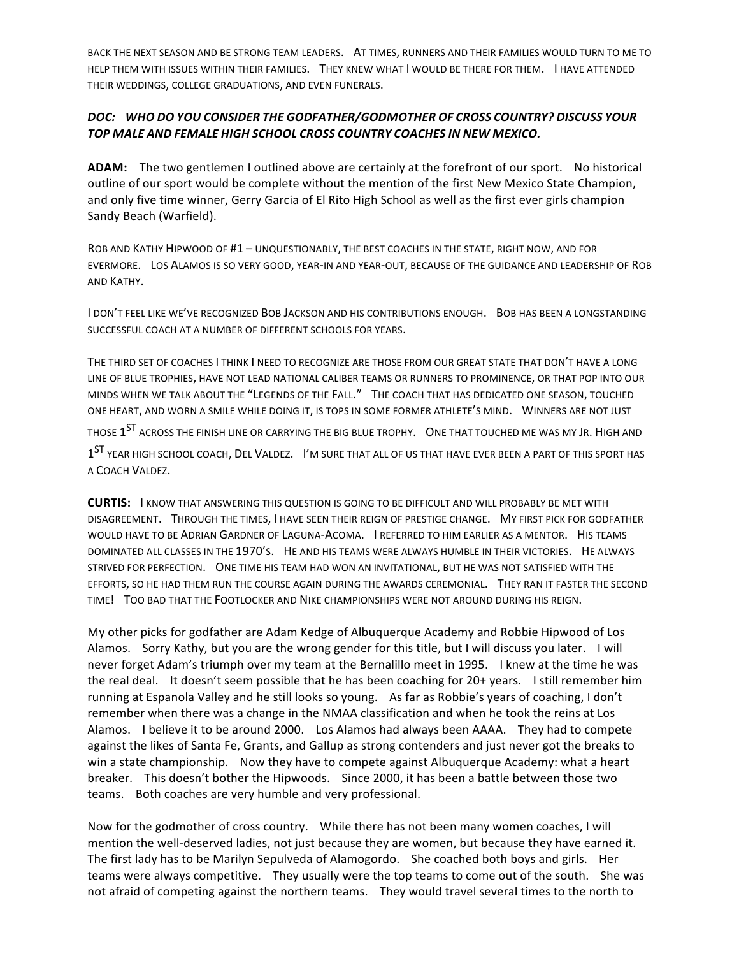BACK THE NEXT SEASON AND BE STRONG TEAM LEADERS. AT TIMES, RUNNERS AND THEIR FAMILIES WOULD TURN TO ME TO HELP THEM WITH ISSUES WITHIN THEIR FAMILIES. THEY KNEW WHAT I WOULD BE THERE FOR THEM. I HAVE ATTENDED THEIR WEDDINGS, COLLEGE GRADUATIONS, AND EVEN FUNERALS.

# *DOC: WHO DO YOU CONSIDER THE GODFATHER/GODMOTHER OF CROSS COUNTRY? DISCUSS YOUR TOP MALE AND FEMALE HIGH SCHOOL CROSS COUNTRY COACHES IN NEW MEXICO.*

**ADAM:** The two gentlemen I outlined above are certainly at the forefront of our sport. No historical outline of our sport would be complete without the mention of the first New Mexico State Champion, and only five time winner, Gerry Garcia of El Rito High School as well as the first ever girls champion Sandy Beach (Warfield).

ROB AND KATHY HIPWOOD OF #1 - UNQUESTIONABLY, THE BEST COACHES IN THE STATE, RIGHT NOW, AND FOR EVERMORE. LOS ALAMOS IS SO VERY GOOD, YEAR-IN AND YEAR-OUT, BECAUSE OF THE GUIDANCE AND LEADERSHIP OF ROB AND KATHY.

I DON'T FEEL LIKE WE'VE RECOGNIZED BOB JACKSON AND HIS CONTRIBUTIONS ENOUGH. BOB HAS BEEN A LONGSTANDING SUCCESSFUL COACH AT A NUMBER OF DIFFERENT SCHOOLS FOR YEARS.

THE THIRD SET OF COACHES I THINK I NEED TO RECOGNIZE ARE THOSE FROM OUR GREAT STATE THAT DON'T HAVE A LONG LINE OF BLUE TROPHIES, HAVE NOT LEAD NATIONAL CALIBER TEAMS OR RUNNERS TO PROMINENCE, OR THAT POP INTO OUR MINDS WHEN WE TALK ABOUT THE "LEGENDS OF THE FALL." THE COACH THAT HAS DEDICATED ONE SEASON, TOUCHED ONE HEART, AND WORN A SMILE WHILE DOING IT, IS TOPS IN SOME FORMER ATHLETE'S MIND. WINNERS ARE NOT JUST THOSE  $1^{ST}$  ACROSS THE FINISH LINE OR CARRYING THE BIG BLUE TROPHY. ONE THAT TOUCHED ME WAS MY JR. HIGH AND 1<sup>ST</sup> YEAR HIGH SCHOOL COACH, DEL VALDEZ. I'M SURE THAT ALL OF US THAT HAVE EVER BEEN A PART OF THIS SPORT HAS A COACH VALDEZ.

**CURTIS:** I KNOW THAT ANSWERING THIS QUESTION IS GOING TO BE DIFFICULT AND WILL PROBABLY BE MET WITH DISAGREEMENT. THROUGH THE TIMES, I HAVE SEEN THEIR REIGN OF PRESTIGE CHANGE. MY FIRST PICK FOR GODFATHER WOULD HAVE TO BE ADRIAN GARDNER OF LAGUNA-ACOMA. I REFERRED TO HIM EARLIER AS A MENTOR. HIS TEAMS DOMINATED ALL CLASSES IN THE 1970'S. HE AND HIS TEAMS WERE ALWAYS HUMBLE IN THEIR VICTORIES. HE ALWAYS STRIVED FOR PERFECTION. ONE TIME HIS TEAM HAD WON AN INVITATIONAL, BUT HE WAS NOT SATISFIED WITH THE EFFORTS, SO HE HAD THEM RUN THE COURSE AGAIN DURING THE AWARDS CEREMONIAL. THEY RAN IT FASTER THE SECOND TIME! TOO BAD THAT THE FOOTLOCKER AND NIKE CHAMPIONSHIPS WERE NOT AROUND DURING HIS REIGN.

My other picks for godfather are Adam Kedge of Albuquerque Academy and Robbie Hipwood of Los Alamos. Sorry Kathy, but you are the wrong gender for this title, but I will discuss you later. I will never forget Adam's triumph over my team at the Bernalillo meet in 1995. I knew at the time he was the real deal. It doesn't seem possible that he has been coaching for 20+ years. I still remember him running at Espanola Valley and he still looks so young. As far as Robbie's years of coaching, I don't remember when there was a change in the NMAA classification and when he took the reins at Los Alamos. I believe it to be around 2000. Los Alamos had always been AAAA. They had to compete against the likes of Santa Fe, Grants, and Gallup as strong contenders and just never got the breaks to win a state championship. Now they have to compete against Albuquerque Academy: what a heart breaker. This doesn't bother the Hipwoods. Since 2000, it has been a battle between those two teams. Both coaches are very humble and very professional.

Now for the godmother of cross country. While there has not been many women coaches, I will mention the well-deserved ladies, not just because they are women, but because they have earned it. The first lady has to be Marilyn Sepulveda of Alamogordo. She coached both boys and girls. Her teams were always competitive. They usually were the top teams to come out of the south. She was not afraid of competing against the northern teams. They would travel several times to the north to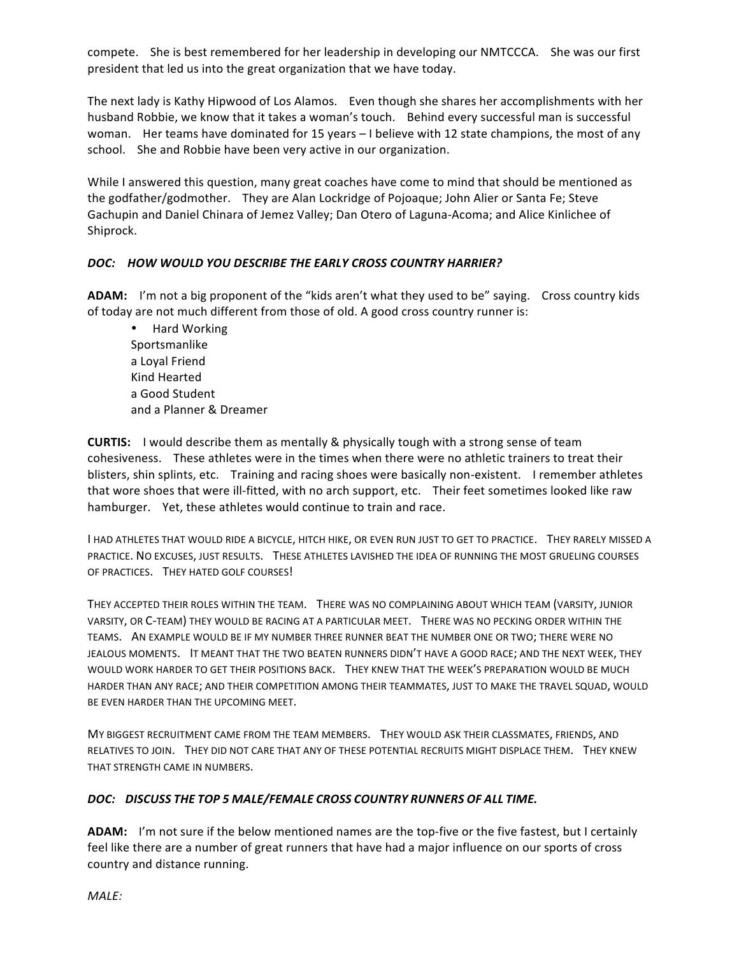compete. She is best remembered for her leadership in developing our NMTCCCA. She was our first president that led us into the great organization that we have today.

The next lady is Kathy Hipwood of Los Alamos. Even though she shares her accomplishments with her husband Robbie, we know that it takes a woman's touch. Behind every successful man is successful woman. Her teams have dominated for 15 years - I believe with 12 state champions, the most of any school. She and Robbie have been very active in our organization.

While I answered this question, many great coaches have come to mind that should be mentioned as the godfather/godmother. They are Alan Lockridge of Pojoaque; John Alier or Santa Fe; Steve Gachupin and Daniel Chinara of Jemez Valley; Dan Otero of Laguna-Acoma; and Alice Kinlichee of Shiprock.

### *DOC: HOW WOULD YOU DESCRIBE THE EARLY CROSS COUNTRY HARRIER?*

**ADAM:** I'm not a big proponent of the "kids aren't what they used to be" saying. Cross country kids of today are not much different from those of old. A good cross country runner is:

• Hard Working Sportsmanlike a Loyal Friend Kind Hearted a Good Student and a Planner & Dreamer

**CURTIS:** I would describe them as mentally & physically tough with a strong sense of team cohesiveness. These athletes were in the times when there were no athletic trainers to treat their blisters, shin splints, etc. Training and racing shoes were basically non-existent. I remember athletes that wore shoes that were ill-fitted, with no arch support, etc. Their feet sometimes looked like raw hamburger. Yet, these athletes would continue to train and race.

I HAD ATHLETES THAT WOULD RIDE A BICYCLE, HITCH HIKE, OR EVEN RUN JUST TO GET TO PRACTICE. THEY RARELY MISSED A PRACTICE. NO EXCUSES, JUST RESULTS. THESE ATHLETES LAVISHED THE IDEA OF RUNNING THE MOST GRUELING COURSES OF PRACTICES. THEY HATED GOLF COURSES!

THEY ACCEPTED THEIR ROLES WITHIN THE TEAM. THERE WAS NO COMPLAINING ABOUT WHICH TEAM (VARSITY, JUNIOR VARSITY, OR C-TEAM) THEY WOULD BE RACING AT A PARTICULAR MEET. THERE WAS NO PECKING ORDER WITHIN THE TEAMS. AN EXAMPLE WOULD BE IF MY NUMBER THREE RUNNER BEAT THE NUMBER ONE OR TWO; THERE WERE NO JEALOUS MOMENTS. IT MEANT THAT THE TWO BEATEN RUNNERS DIDN'T HAVE A GOOD RACE; AND THE NEXT WEEK, THEY WOULD WORK HARDER TO GET THEIR POSITIONS BACK. THEY KNEW THAT THE WEEK'S PREPARATION WOULD BE MUCH HARDER THAN ANY RACE; AND THEIR COMPETITION AMONG THEIR TEAMMATES, JUST TO MAKE THE TRAVEL SQUAD, WOULD BE EVEN HARDER THAN THE UPCOMING MEET.

MY BIGGEST RECRUITMENT CAME FROM THE TEAM MEMBERS. THEY WOULD ASK THEIR CLASSMATES, FRIENDS, AND RELATIVES TO JOIN. THEY DID NOT CARE THAT ANY OF THESE POTENTIAL RECRUITS MIGHT DISPLACE THEM. THEY KNEW THAT STRENGTH CAME IN NUMBERS.

### *DOC: DISCUSS THE TOP 5 MALE/FEMALE CROSS COUNTRY RUNNERS OF ALL TIME.*

**ADAM:** I'm not sure if the below mentioned names are the top-five or the five fastest, but I certainly feel like there are a number of great runners that have had a major influence on our sports of cross country and distance running.

*MALE:*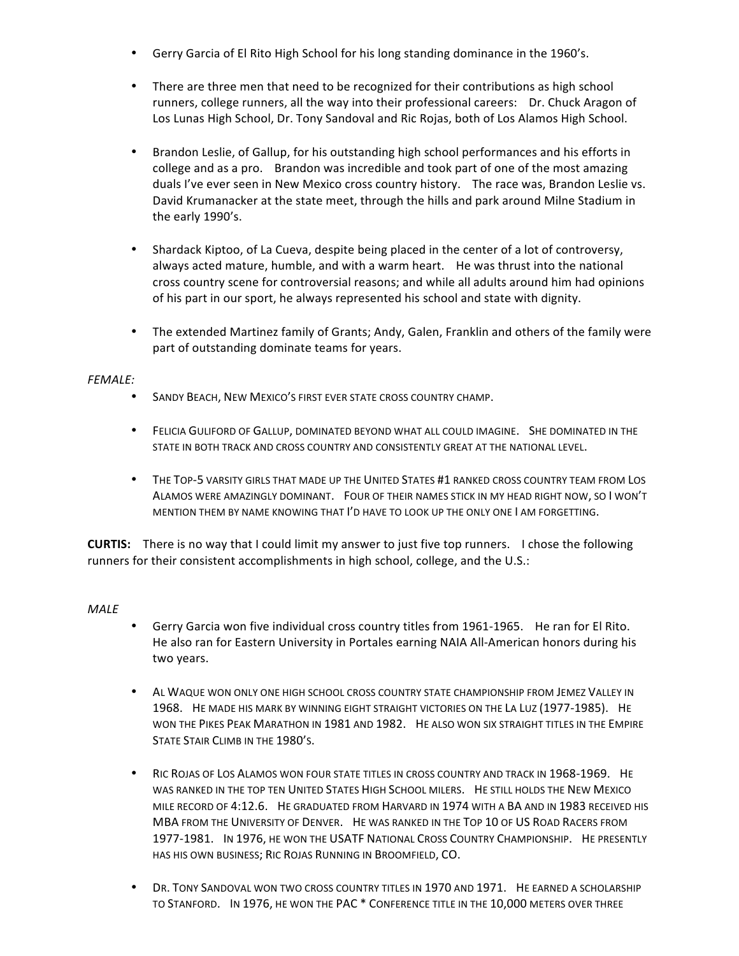- Gerry Garcia of El Rito High School for his long standing dominance in the 1960's.
- There are three men that need to be recognized for their contributions as high school runners, college runners, all the way into their professional careers: Dr. Chuck Aragon of Los Lunas High School, Dr. Tony Sandoval and Ric Rojas, both of Los Alamos High School.
- Brandon Leslie, of Gallup, for his outstanding high school performances and his efforts in college and as a pro. Brandon was incredible and took part of one of the most amazing duals I've ever seen in New Mexico cross country history. The race was, Brandon Leslie vs. David Krumanacker at the state meet, through the hills and park around Milne Stadium in the early 1990's.
- Shardack Kiptoo, of La Cueva, despite being placed in the center of a lot of controversy, always acted mature, humble, and with a warm heart. He was thrust into the national cross country scene for controversial reasons; and while all adults around him had opinions of his part in our sport, he always represented his school and state with dignity.
- The extended Martinez family of Grants; Andy, Galen, Franklin and others of the family were part of outstanding dominate teams for years.

#### *FEMALE:*

- SANDY BEACH, NEW MEXICO'S FIRST EVER STATE CROSS COUNTRY CHAMP.
- FELICIA GULIFORD OF GALLUP, DOMINATED BEYOND WHAT ALL COULD IMAGINE. SHE DOMINATED IN THE STATE IN BOTH TRACK AND CROSS COUNTRY AND CONSISTENTLY GREAT AT THE NATIONAL LEVEL.
- THE TOP-5 VARSITY GIRLS THAT MADE UP THE UNITED STATES #1 RANKED CROSS COUNTRY TEAM FROM LOS ALAMOS WERE AMAZINGLY DOMINANT. FOUR OF THEIR NAMES STICK IN MY HEAD RIGHT NOW, SO I WON'T MENTION THEM BY NAME KNOWING THAT I'D HAVE TO LOOK UP THE ONLY ONE I AM FORGETTING.

**CURTIS:** There is no way that I could limit my answer to just five top runners. I chose the following runners for their consistent accomplishments in high school, college, and the U.S.:

### *MALE*

- Gerry Garcia won five individual cross country titles from 1961-1965. He ran for El Rito. He also ran for Eastern University in Portales earning NAIA All-American honors during his two years.
- AL WAQUE WON ONLY ONE HIGH SCHOOL CROSS COUNTRY STATE CHAMPIONSHIP FROM JEMEZ VALLEY IN 1968. He MADE HIS MARK BY WINNING EIGHT STRAIGHT VICTORIES ON THE LA LUZ (1977-1985). HE WON THE PIKES PEAK MARATHON IN 1981 AND 1982. HE ALSO WON SIX STRAIGHT TITLES IN THE EMPIRE STATE STAIR CLIMB IN THE 1980'S.
- RIC ROJAS OF LOS ALAMOS WON FOUR STATE TITLES IN CROSS COUNTRY AND TRACK IN 1968-1969. HE WAS RANKED IN THE TOP TEN UNITED STATES HIGH SCHOOL MILERS. HE STILL HOLDS THE NEW MEXICO MILE RECORD OF 4:12.6. HE GRADUATED FROM HARVARD IN 1974 WITH A BA AND IN 1983 RECEIVED HIS MBA FROM THE UNIVERSITY OF DENVER. HE WAS RANKED IN THE TOP 10 OF US ROAD RACERS FROM 1977-1981. In 1976, HE WON THE USATF NATIONAL CROSS COUNTRY CHAMPIONSHIP. HE PRESENTLY HAS HIS OWN BUSINESS; RIC ROJAS RUNNING IN BROOMFIELD, CO.
- DR. TONY SANDOVAL WON TWO CROSS COUNTRY TITLES IN 1970 AND 1971. HE EARNED A SCHOLARSHIP TO STANFORD. IN 1976, HE WON THE PAC \* CONFERENCE TITLE IN THE 10,000 METERS OVER THREE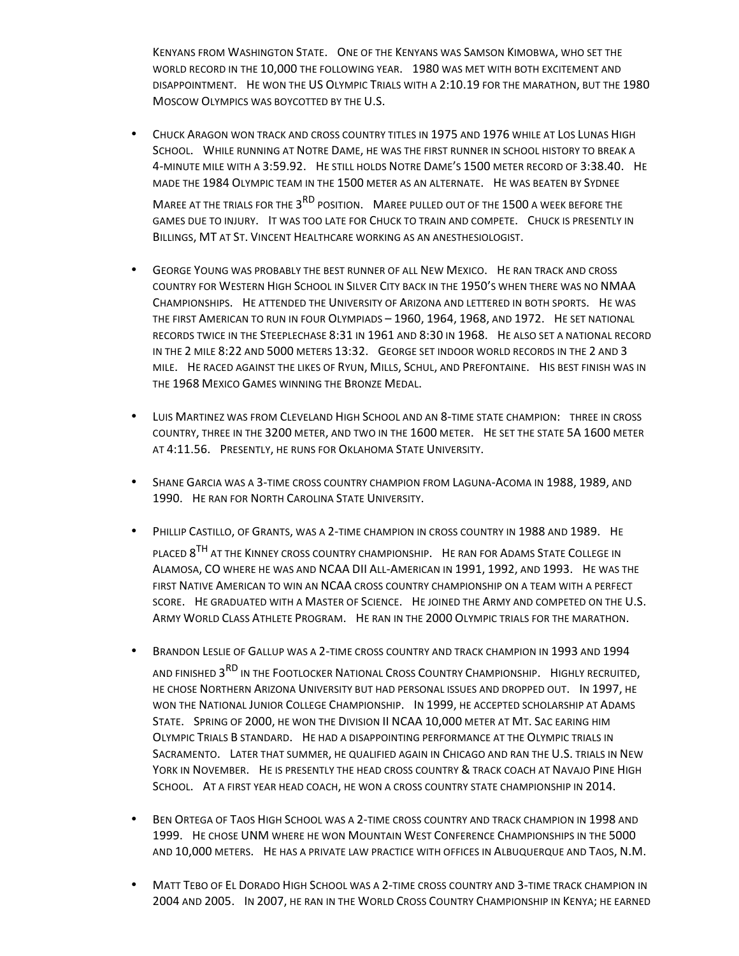KENYANS FROM WASHINGTON STATE. ONE OF THE KENYANS WAS SAMSON KIMOBWA, WHO SET THE WORLD RECORD IN THE 10,000 THE FOLLOWING YEAR. 1980 WAS MET WITH BOTH EXCITEMENT AND DISAPPOINTMENT. HE WON THE US OLYMPIC TRIALS WITH A 2:10.19 FOR THE MARATHON, BUT THE 1980 MOSCOW OLYMPICS WAS BOYCOTTED BY THE U.S.

- CHUCK ARAGON WON TRACK AND CROSS COUNTRY TITLES IN 1975 AND 1976 WHILE AT LOS LUNAS HIGH SCHOOL. WHILE RUNNING AT NOTRE DAME, HE WAS THE FIRST RUNNER IN SCHOOL HISTORY TO BREAK A 4-MINUTE MILE WITH A 3:59.92. HE STILL HOLDS NOTRE DAME'S 1500 METER RECORD OF 3:38.40. HE MADE THE 1984 OLYMPIC TEAM IN THE 1500 METER AS AN ALTERNATE. HE WAS BEATEN BY SYDNEE MAREE AT THE TRIALS FOR THE 3<sup>RD</sup> POSITION. MAREE PULLED OUT OF THE 1500 A WEEK BEFORE THE GAMES DUE TO INJURY. IT WAS TOO LATE FOR CHUCK TO TRAIN AND COMPETE. CHUCK IS PRESENTLY IN BILLINGS, MT AT ST. VINCENT HEALTHCARE WORKING AS AN ANESTHESIOLOGIST.
- GEORGE YOUNG WAS PROBABLY THE BEST RUNNER OF ALL NEW MEXICO. HE RAN TRACK AND CROSS COUNTRY FOR WESTERN HIGH SCHOOL IN SILVER CITY BACK IN THE 1950'S WHEN THERE WAS NO NMAA CHAMPIONSHIPS. HE ATTENDED THE UNIVERSITY OF ARIZONA AND LETTERED IN BOTH SPORTS. HE WAS THE FIRST AMERICAN TO RUN IN FOUR OLYMPIADS - 1960, 1964, 1968, AND 1972. HE SET NATIONAL RECORDS TWICE IN THE STEEPLECHASE 8:31 IN 1961 AND 8:30 IN 1968. HE ALSO SET A NATIONAL RECORD IN THE 2 MILE 8:22 AND 5000 METERS 13:32. GEORGE SET INDOOR WORLD RECORDS IN THE 2 AND 3 MILE. HE RACED AGAINST THE LIKES OF RYUN, MILLS, SCHUL, AND PREFONTAINE. HIS BEST FINISH WAS IN THE 1968 MEXICO GAMES WINNING THE BRONZE MEDAL.
- LUIS MARTINEZ WAS FROM CLEVELAND HIGH SCHOOL AND AN 8-TIME STATE CHAMPION: THREE IN CROSS COUNTRY, THREE IN THE 3200 METER, AND TWO IN THE 1600 METER. HE SET THE STATE 5A 1600 METER AT 4:11.56. PRESENTLY, HE RUNS FOR OKLAHOMA STATE UNIVERSITY.
- SHANE GARCIA WAS A 3-TIME CROSS COUNTRY CHAMPION FROM LAGUNA-ACOMA IN 1988, 1989, AND 1990. HE RAN FOR NORTH CAROLINA STATE UNIVERSITY.
- PHILLIP CASTILLO, OF GRANTS, WAS A 2-TIME CHAMPION IN CROSS COUNTRY IN 1988 AND 1989. HE PLACED 8<sup>TH</sup> AT THE KINNEY CROSS COUNTRY CHAMPIONSHIP. HE RAN FOR ADAMS STATE COLLEGE IN ALAMOSA, CO WHERE HE WAS AND NCAA DII ALL-AMERICAN IN 1991, 1992, AND 1993. HE WAS THE FIRST NATIVE AMERICAN TO WIN AN NCAA CROSS COUNTRY CHAMPIONSHIP ON A TEAM WITH A PERFECT SCORE. HE GRADUATED WITH A MASTER OF SCIENCE. HE JOINED THE ARMY AND COMPETED ON THE U.S. ARMY WORLD CLASS ATHLETE PROGRAM. HE RAN IN THE 2000 OLYMPIC TRIALS FOR THE MARATHON.
- BRANDON LESLIE OF GALLUP WAS A 2-TIME CROSS COUNTRY AND TRACK CHAMPION IN 1993 AND 1994 AND FINISHED 3RD IN THE FOOTLOCKER NATIONAL CROSS COUNTRY CHAMPIONSHIP. HIGHLY RECRUITED, HE CHOSE NORTHERN ARIZONA UNIVERSITY BUT HAD PERSONAL ISSUES AND DROPPED OUT. IN 1997, HE WON THE NATIONAL JUNIOR COLLEGE CHAMPIONSHIP. IN 1999, HE ACCEPTED SCHOLARSHIP AT ADAMS STATE. SPRING OF 2000, HE WON THE DIVISION II NCAA 10,000 METER AT MT. SAC EARING HIM OLYMPIC TRIALS B STANDARD. HE HAD A DISAPPOINTING PERFORMANCE AT THE OLYMPIC TRIALS IN SACRAMENTO. LATER THAT SUMMER, HE QUALIFIED AGAIN IN CHICAGO AND RAN THE U.S. TRIALS IN NEW YORK IN NOVEMBER. HE IS PRESENTLY THE HEAD CROSS COUNTRY & TRACK COACH AT NAVAJO PINE HIGH SCHOOL. AT A FIRST YEAR HEAD COACH, HE WON A CROSS COUNTRY STATE CHAMPIONSHIP IN 2014.
- BEN ORTEGA OF TAOS HIGH SCHOOL WAS A 2-TIME CROSS COUNTRY AND TRACK CHAMPION IN 1998 AND 1999. HE CHOSE UNM WHERE HE WON MOUNTAIN WEST CONFERENCE CHAMPIONSHIPS IN THE 5000 AND 10,000 METERS. HE HAS A PRIVATE LAW PRACTICE WITH OFFICES IN ALBUQUERQUE AND TAOS, N.M.
- MATT TEBO OF EL DORADO HIGH SCHOOL WAS A 2-TIME CROSS COUNTRY AND 3-TIME TRACK CHAMPION IN 2004 AND 2005. IN 2007, HE RAN IN THE WORLD CROSS COUNTRY CHAMPIONSHIP IN KENYA; HE EARNED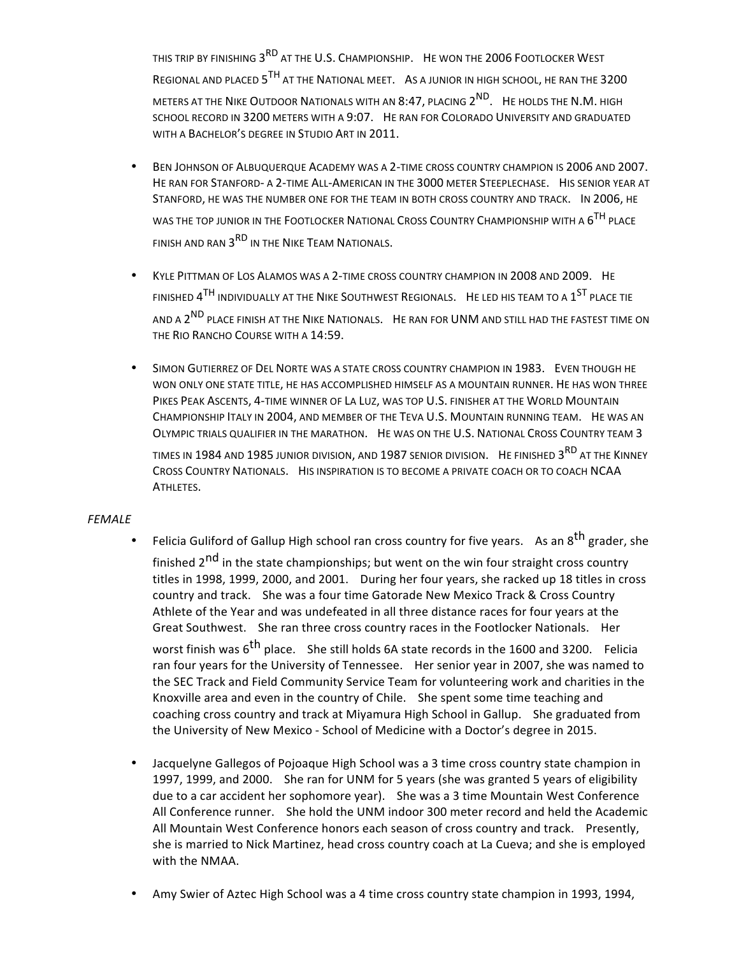THIS TRIP BY FINISHING 3<sup>RD</sup> AT THE U.S. CHAMPIONSHIP. HE WON THE 2006 FOOTLOCKER WEST REGIONAL AND PLACED 5<sup>TH</sup> AT THE NATIONAL MEET. AS A JUNIOR IN HIGH SCHOOL, HE RAN THE 3200 METERS AT THE NIKE OUTDOOR NATIONALS WITH AN 8:47, PLACING  $2^{ND}$ . He holds the N.M. HIGH SCHOOL RECORD IN 3200 METERS WITH A 9:07. HE RAN FOR COLORADO UNIVERSITY AND GRADUATED WITH A BACHELOR'S DEGREE IN STUDIO ART IN 2011.

- BEN JOHNSON OF ALBUQUERQUE ACADEMY WAS A 2-TIME CROSS COUNTRY CHAMPION IS 2006 AND 2007. HE RAN FOR STANFORD- A 2-TIME ALL-AMERICAN IN THE 3000 METER STEEPLECHASE. HIS SENIOR YEAR AT STANFORD, HE WAS THE NUMBER ONE FOR THE TEAM IN BOTH CROSS COUNTRY AND TRACK. IN 2006, HE WAS THE TOP JUNIOR IN THE FOOTLOCKER NATIONAL CROSS COUNTRY CHAMPIONSHIP WITH A 6<sup>TH</sup> PLACE FINISH AND RAN  $3<sup>RD</sup>$  in the Nike Team Nationals.
- KYLE PITTMAN OF LOS ALAMOS WAS A 2-TIME CROSS COUNTRY CHAMPION IN 2008 AND 2009. HE FINISHED  $4^{TH}$  INDIVIDUALLY AT THE NIKE SOUTHWEST REGIONALS. HE LED HIS TEAM TO A  $1^{ST}$  place tie AND A 2<sup>ND</sup> PLACE FINISH AT THE NIKE NATIONALS. HE RAN FOR UNM AND STILL HAD THE FASTEST TIME ON THE RIO RANCHO COURSE WITH A 14:59.
- SIMON GUTIERREZ OF DEL NORTE WAS A STATE CROSS COUNTRY CHAMPION IN 1983. EVEN THOUGH HE WON ONLY ONE STATE TITLE, HE HAS ACCOMPLISHED HIMSELF AS A MOUNTAIN RUNNER. HE HAS WON THREE PIKES PEAK ASCENTS, 4-TIME WINNER OF LA LUZ, WAS TOP U.S. FINISHER AT THE WORLD MOUNTAIN CHAMPIONSHIP ITALY IN 2004, AND MEMBER OF THE TEVA U.S. MOUNTAIN RUNNING TEAM. HE WAS AN OLYMPIC TRIALS QUALIFIER IN THE MARATHON. HE WAS ON THE U.S. NATIONAL CROSS COUNTRY TEAM 3

TIMES IN 1984 AND 1985 JUNIOR DIVISION, AND 1987 SENIOR DIVISION. HE FINISHED 3<sup>RD</sup> AT THE KINNEY CROSS COUNTRY NATIONALS. HIS INSPIRATION IS TO BECOME A PRIVATE COACH OR TO COACH NCAA ATHLETES.

#### *FEMALE*

- Felicia Guliford of Gallup High school ran cross country for five years. As an  $8<sup>th</sup>$  grader, she finished  $2^{nd}$  in the state championships; but went on the win four straight cross country titles in 1998, 1999, 2000, and 2001. During her four years, she racked up 18 titles in cross country and track. She was a four time Gatorade New Mexico Track & Cross Country Athlete of the Year and was undefeated in all three distance races for four years at the Great Southwest. She ran three cross country races in the Footlocker Nationals. Her worst finish was  $6^{th}$  place. She still holds 6A state records in the 1600 and 3200. Felicia ran four years for the University of Tennessee. Her senior year in 2007, she was named to the SEC Track and Field Community Service Team for volunteering work and charities in the Knoxville area and even in the country of Chile. She spent some time teaching and coaching cross country and track at Miyamura High School in Gallup. She graduated from the University of New Mexico - School of Medicine with a Doctor's degree in 2015.
- Jacquelyne Gallegos of Pojoaque High School was a 3 time cross country state champion in 1997, 1999, and 2000. She ran for UNM for 5 years (she was granted 5 years of eligibility due to a car accident her sophomore year). She was a 3 time Mountain West Conference All Conference runner. She hold the UNM indoor 300 meter record and held the Academic All Mountain West Conference honors each season of cross country and track. Presently, she is married to Nick Martinez, head cross country coach at La Cueva; and she is employed with the NMAA.
- Amy Swier of Aztec High School was a 4 time cross country state champion in 1993, 1994,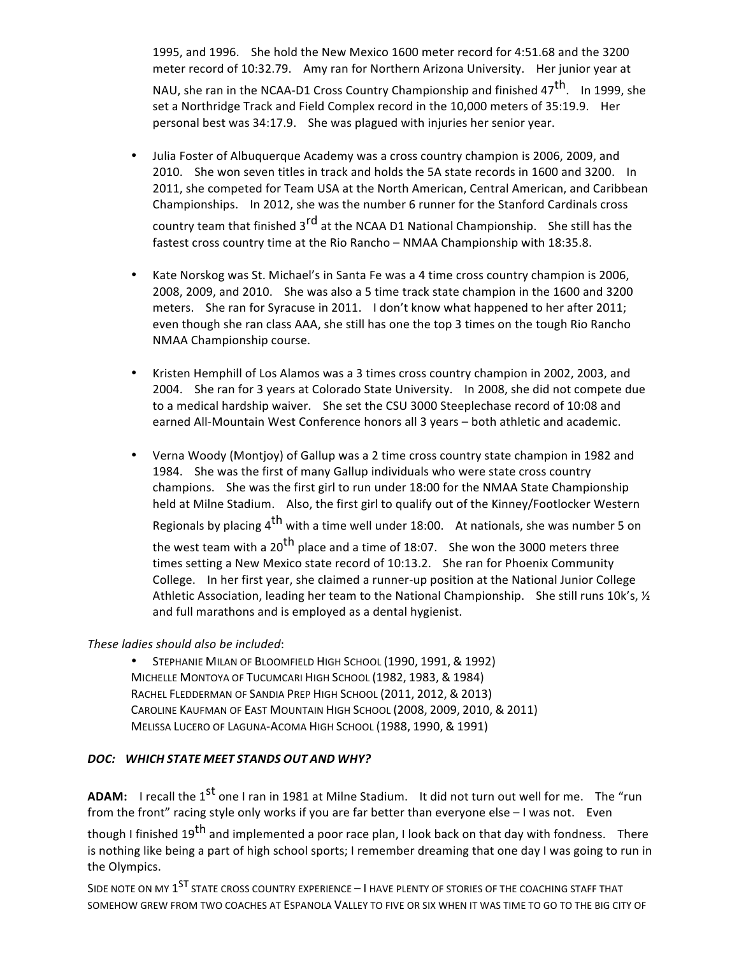1995, and 1996. She hold the New Mexico 1600 meter record for 4:51.68 and the 3200 meter record of 10:32.79. Amy ran for Northern Arizona University. Her junior year at

NAU, she ran in the NCAA-D1 Cross Country Championship and finished  $47^{th}$ . In 1999, she set a Northridge Track and Field Complex record in the 10,000 meters of 35:19.9. Her personal best was 34:17.9. She was plagued with injuries her senior year.

- Julia Foster of Albuquerque Academy was a cross country champion is 2006, 2009, and 2010. She won seven titles in track and holds the 5A state records in 1600 and 3200. In 2011, she competed for Team USA at the North American, Central American, and Caribbean Championships. In 2012, she was the number 6 runner for the Stanford Cardinals cross country team that finished  $3^{rd}$  at the NCAA D1 National Championship. She still has the fastest cross country time at the Rio Rancho – NMAA Championship with 18:35.8.
- Kate Norskog was St. Michael's in Santa Fe was a 4 time cross country champion is 2006, 2008, 2009, and 2010. She was also a 5 time track state champion in the 1600 and 3200 meters. She ran for Syracuse in 2011. I don't know what happened to her after 2011; even though she ran class AAA, she still has one the top 3 times on the tough Rio Rancho NMAA Championship course.
- Kristen Hemphill of Los Alamos was a 3 times cross country champion in 2002, 2003, and 2004. She ran for 3 years at Colorado State University. In 2008, she did not compete due to a medical hardship waiver. She set the CSU 3000 Steeplechase record of 10:08 and earned All-Mountain West Conference honors all 3 years - both athletic and academic.
- Verna Woody (Montjoy) of Gallup was a 2 time cross country state champion in 1982 and 1984. She was the first of many Gallup individuals who were state cross country champions. She was the first girl to run under 18:00 for the NMAA State Championship held at Milne Stadium. Also, the first girl to qualify out of the Kinney/Footlocker Western Regionals by placing  $4<sup>th</sup>$  with a time well under 18:00. At nationals, she was number 5 on the west team with a 20<sup>th</sup> place and a time of 18:07. She won the 3000 meters three times setting a New Mexico state record of 10:13.2. She ran for Phoenix Community College. In her first year, she claimed a runner-up position at the National Junior College Athletic Association, leading her team to the National Championship. She still runs 10k's,  $\frac{1}{2}$ and full marathons and is employed as a dental hygienist.

### *These ladies should also be included*:

STEPHANIE MILAN OF BLOOMFIELD HIGH SCHOOL (1990, 1991, & 1992) MICHELLE MONTOYA OF TUCUMCARI HIGH SCHOOL (1982, 1983, & 1984) RACHEL FLEDDERMAN OF SANDIA PREP HIGH SCHOOL (2011, 2012, & 2013) CAROLINE KAUFMAN OF EAST MOUNTAIN HIGH SCHOOL (2008, 2009, 2010, & 2011) MELISSA LUCERO OF LAGUNA-ACOMA HIGH SCHOOL (1988, 1990, & 1991)

# *DOC: WHICH STATE MEET STANDS OUT AND WHY?*

**ADAM:** I recall the 1<sup>st</sup> one I ran in 1981 at Milne Stadium. It did not turn out well for me. The "run from the front" racing style only works if you are far better than everyone else - I was not. Even

though I finished  $19^{th}$  and implemented a poor race plan, I look back on that day with fondness. There is nothing like being a part of high school sports; I remember dreaming that one day I was going to run in the Olympics.

SIDE NOTE ON MY 1<sup>ST</sup> STATE CROSS COUNTRY EXPERIENCE - I HAVE PLENTY OF STORIES OF THE COACHING STAFF THAT SOMEHOW GREW FROM TWO COACHES AT ESPANOLA VALLEY TO FIVE OR SIX WHEN IT WAS TIME TO GO TO THE BIG CITY OF